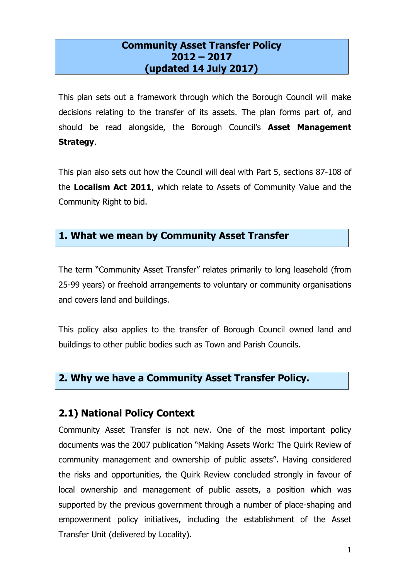### **Community Asset Transfer Policy 2012 – 2017 (updated 14 July 2017)**

 This plan sets out a framework through which the Borough Council will make decisions relating to the transfer of its assets. The plan forms part of, and should be read alongside, the Borough Council's **Asset Management Strategy**.

 This plan also sets out how the Council will deal with Part 5, sections 87-108 of  the **Localism Act 2011**, which relate to Assets of Community Value and the Community Right to bid.

# **1. What we mean by Community Asset Transfer**

 The term "Community Asset Transfer" relates primarily to long leasehold (from 25-99 years) or freehold arrangements to voluntary or community organisations and covers land and buildings.

 This policy also applies to the transfer of Borough Council owned land and buildings to other public bodies such as Town and Parish Councils.

### **2. Why we have a Community Asset Transfer Policy.**

### **2.1) National Policy Context**

 Community Asset Transfer is not new. One of the most important policy documents was the 2007 publication "Making Assets Work: The Quirk Review of the risks and opportunities, the Quirk Review concluded strongly in favour of local ownership and management of public assets, a position which was supported by the previous government through a number of place-shaping and empowerment policy initiatives, including the establishment of the Asset community management and ownership of public assets". Having considered Transfer Unit (delivered by Locality).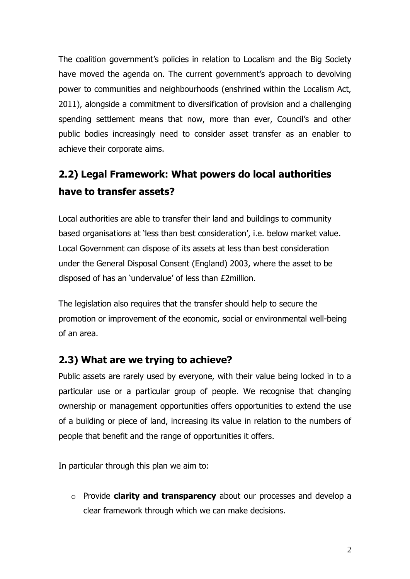The coalition government's policies in relation to Localism and the Big Society have moved the agenda on. The current government's approach to devolving power to communities and neighbourhoods (enshrined within the Localism Act, spending settlement means that now, more than ever, Council's and other 2011), alongside a commitment to diversification of provision and a challenging public bodies increasingly need to consider asset transfer as an enabler to achieve their corporate aims.

# **2.2) Legal Framework: What powers do local authorities have to transfer assets?**

Local authorities are able to transfer their land and buildings to community based organisations at 'less than best consideration', i.e. below market value. Local Government can dispose of its assets at less than best consideration under the General Disposal Consent (England) 2003, where the asset to be disposed of has an 'undervalue' of less than £2million.

 of an area. The legislation also requires that the transfer should help to secure the promotion or improvement of the economic, social or environmental well-being

### **2.3) What are we trying to achieve?**

 Public assets are rarely used by everyone, with their value being locked in to a particular use or a particular group of people. We recognise that changing ownership or management opportunities offers opportunities to extend the use of a building or piece of land, increasing its value in relation to the numbers of people that benefit and the range of opportunities it offers.<br>In particular through this plan we aim to:

 o Provide **clarity and transparency** about our processes and develop a clear framework through which we can make decisions.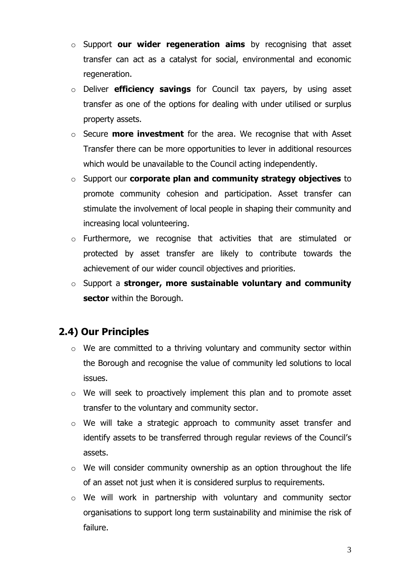- o Support **our wider regeneration aims** by recognising that asset transfer can act as a catalyst for social, environmental and economic regeneration.
- o Deliver **efficiency savings** for Council tax payers, by using asset transfer as one of the options for dealing with under utilised or surplus property assets.
- o Secure **more investment** for the area. We recognise that with Asset Transfer there can be more opportunities to lever in additional resources which would be unavailable to the Council acting independently.
- o Support our **corporate plan and community strategy objectives** to promote community cohesion and participation. Asset transfer can stimulate the involvement of local people in shaping their community and increasing local volunteering.
- $\circ$  Furthermore, we recognise that activities that are stimulated or protected by asset transfer are likely to contribute towards the achievement of our wider council objectives and priorities.
- o Support a **stronger, more sustainable voluntary and community sector** within the Borough.

# **2.4) Our Principles**

- the Borough and recognise the value of community led solutions to local issues.  $\circ$  We are committed to a thriving voluntary and community sector within
- $\circ$  We will seek to proactively implement this plan and to promote asset transfer to the voluntary and community sector.
- $\circ$  We will take a strategic approach to community asset transfer and identify assets to be transferred through regular reviews of the Council's assets.
- $\circ$  We will consider community ownership as an option throughout the life of an asset not just when it is considered surplus to requirements.
- organisations to support long term sustainability and minimise the risk of  $\circ$  We will work in partnership with voluntary and community sector failure.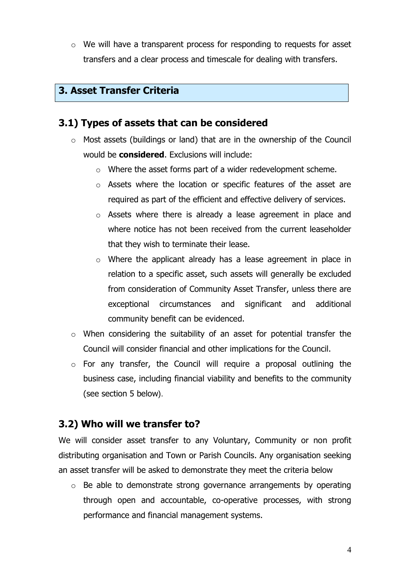$\circ$  We will have a transparent process for responding to requests for asset transfers and a clear process and timescale for dealing with transfers.

# **3. Asset Transfer Criteria**

### **3.1) Types of assets that can be considered**

- $\circ$  Most assets (buildings or land) that are in the ownership of the Council would be **considered**. Exclusions will include:
	- $\circ$  Where the asset forms part of a wider redevelopment scheme.
	- $\circ$  Assets where the location or specific features of the asset are required as part of the efficient and effective delivery of services.
	- $\circ$  Assets where there is already a lease agreement in place and where notice has not been received from the current leaseholder that they wish to terminate their lease.
	- $\circ$  Where the applicant already has a lease agreement in place in relation to a specific asset, such assets will generally be excluded from consideration of Community Asset Transfer, unless there are exceptional circumstances and significant and additional community benefit can be evidenced.
- $\circ$  When considering the suitability of an asset for potential transfer the Council will consider financial and other implications for the Council.
- $\circ$  For any transfer, the Council will require a proposal outlining the business case, including financial viability and benefits to the community (see section 5 below).

# **3.2) Who will we transfer to?**

 We will consider asset transfer to any Voluntary, Community or non profit distributing organisation and Town or Parish Councils. Any organisation seeking an asset transfer will be asked to demonstrate they meet the criteria below

 $\circ$  Be able to demonstrate strong governance arrangements by operating through open and accountable, co-operative processes, with strong performance and financial management systems.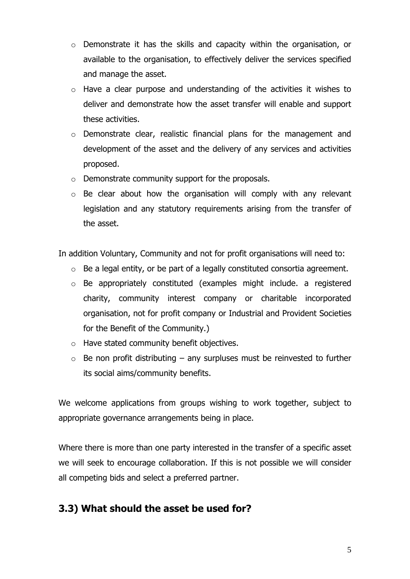- o Demonstrate it has the skills and capacity within the organisation, or available to the organisation, to effectively deliver the services specified and manage the asset.
- $\circ$  Have a clear purpose and understanding of the activities it wishes to deliver and demonstrate how the asset transfer will enable and support these activities.
- $\circ$  Demonstrate clear, realistic financial plans for the management and development of the asset and the delivery of any services and activities proposed.
- $\circ$  Demonstrate community support for the proposals.
- $\circ$  Be clear about how the organisation will comply with any relevant legislation and any statutory requirements arising from the transfer of the asset.

In addition Voluntary, Community and not for profit organisations will need to:

- $\circ$  Be a legal entity, or be part of a legally constituted consortia agreement.
- $\circ$  Be appropriately constituted (examples might include. a registered charity, community interest company or charitable incorporated organisation, not for profit company or Industrial and Provident Societies for the Benefit of the Community.)
- $\circ$  Have stated community benefit objectives.
- $\circ$  Be non profit distributing any surpluses must be reinvested to further its social aims/community benefits.

appropriate governance arrangements being in place. We welcome applications from groups wishing to work together, subject to

appropriate governance arrangements being in place.<br>Where there is more than one party interested in the transfer of a specific asset we will seek to encourage collaboration. If this is not possible we will consider all competing bids and select a preferred partner.

# **3.3) What should the asset be used for?**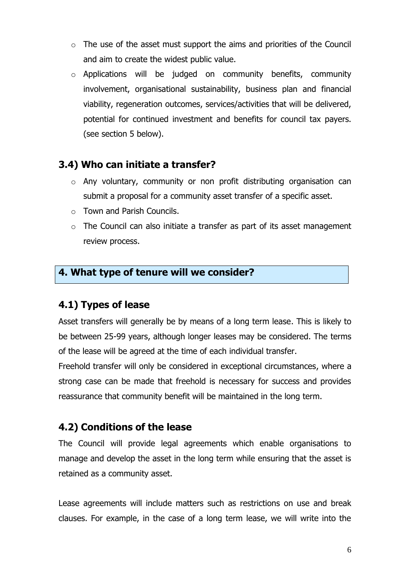- $\circ$  The use of the asset must support the aims and priorities of the Council and aim to create the widest public value.
- viability, regeneration outcomes, services/activities that will be delivered, potential for continued investment and benefits for council tax payers.  $\circ$  Applications will be judged on community benefits, community involvement, organisational sustainability, business plan and financial (see section 5 below).

# **3.4) Who can initiate a transfer?**

- $\circ$  Any voluntary, community or non profit distributing organisation can submit a proposal for a community asset transfer of a specific asset.
- $\circ$  Town and Parish Councils.
- $\circ$  The Council can also initiate a transfer as part of its asset management review process.

# **4. What type of tenure will we consider?**

# **4.1) Types of lease**

 Asset transfers will generally be by means of a long term lease. This is likely to be between 25-99 years, although longer leases may be considered. The terms of the lease will be agreed at the time of each individual transfer.

 Freehold transfer will only be considered in exceptional circumstances, where a strong case can be made that freehold is necessary for success and provides reassurance that community benefit will be maintained in the long term.

# **4.2) Conditions of the lease**

 manage and develop the asset in the long term while ensuring that the asset is The Council will provide legal agreements which enable organisations to retained as a community asset.

 Lease agreements will include matters such as restrictions on use and break clauses. For example, in the case of a long term lease, we will write into the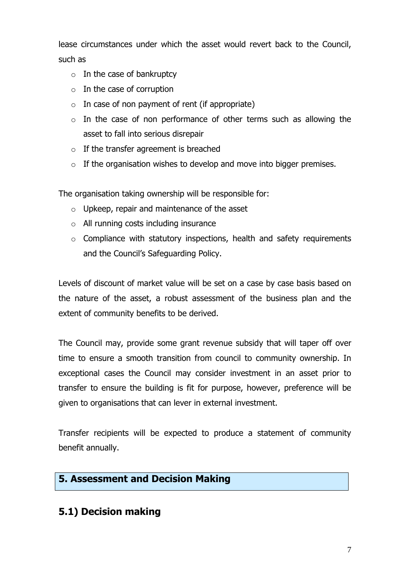lease circumstances under which the asset would revert back to the Council, such as

- $\circ$  In the case of bankruptcy
- $\circ$  In the case of corruption
- $\circ$  In case of non payment of rent (if appropriate)
- $\circ$  In the case of non performance of other terms such as allowing the asset to fall into serious disrepair
- $\circ$  If the transfer agreement is breached
- $\circ$  If the organisation wishes to develop and move into bigger premises.

The organisation taking ownership will be responsible for:

- $\circ$  Upkeep, repair and maintenance of the asset
- $\circ$  All running costs including insurance
- $\circ$  Compliance with statutory inspections, health and safety requirements and the Council's Safeguarding Policy.

 Levels of discount of market value will be set on a case by case basis based on the nature of the asset, a robust assessment of the business plan and the extent of community benefits to be derived.

 time to ensure a smooth transition from council to community ownership. In exceptional cases the Council may consider investment in an asset prior to transfer to ensure the building is fit for purpose, however, preference will be given to organisations that can lever in external investment. The Council may, provide some grant revenue subsidy that will taper off over

 Transfer recipients will be expected to produce a statement of community benefit annually.

### **5. Assessment and Decision Making**

### **5.1) Decision making**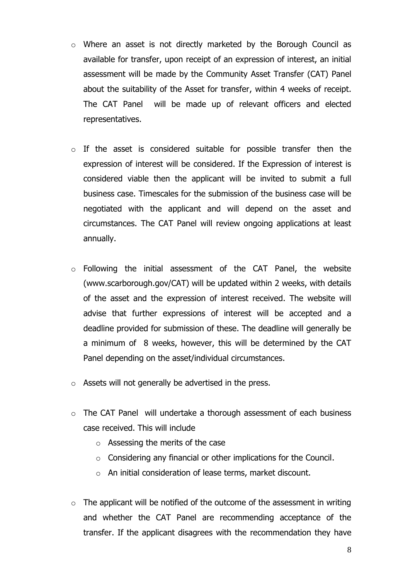- $\circ$  Where an asset is not directly marketed by the Borough Council as available for transfer, upon receipt of an expression of interest, an initial assessment will be made by the Community Asset Transfer (CAT) Panel about the suitability of the Asset for transfer, within 4 weeks of receipt. The CAT Panel will be made up of relevant officers and elected representatives.
- $\circ$  If the asset is considered suitable for possible transfer then the expression of interest will be considered. If the Expression of interest is considered viable then the applicant will be invited to submit a full business case. Timescales for the submission of the business case will be negotiated with the applicant and will depend on the asset and circumstances. The CAT Panel will review ongoing applications at least annually.
- $\circ$  Following the initial assessment of the CAT Panel, the website (www.scarborough.gov/CAT) will be updated within 2 weeks, with details of the asset and the expression of interest received. The website will advise that further expressions of interest will be accepted and a deadline provided for submission of these. The deadline will generally be a minimum of 8 weeks, however, this will be determined by the CAT Panel depending on the asset/individual circumstances.
- $\circ$  Assets will not generally be advertised in the press.
- $\circ$  The CAT Panel will undertake a thorough assessment of each business case received. This will include
	- $\circ$  Assessing the merits of the case
	- $\circ$  Considering any financial or other implications for the Council.
	- $\circ$  An initial consideration of lease terms, market discount.
- and whether the CAT Panel are recommending acceptance of the transfer. If the applicant disagrees with the recommendation they have  $\circ$  The applicant will be notified of the outcome of the assessment in writing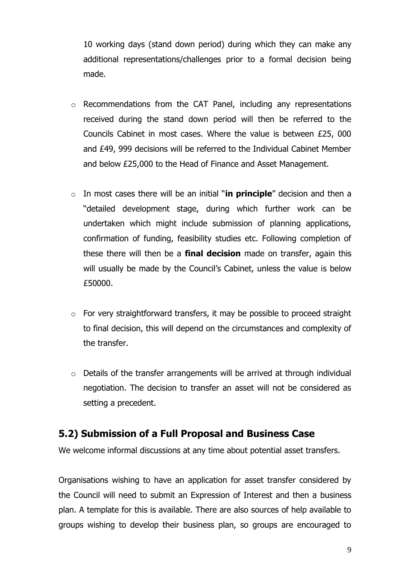10 working days (stand down period) during which they can make any additional representations/challenges prior to a formal decision being made.

- $\circ$  Recommendations from the CAT Panel, including any representations received during the stand down period will then be referred to the Councils Cabinet in most cases. Where the value is between £25, 000 and £49, 999 decisions will be referred to the Individual Cabinet Member and below £25,000 to the Head of Finance and Asset Management.
- o In most cases there will be an initial "**in principle**" decision and then a confirmation of funding, feasibility studies etc. Following completion of these there will then be a **final decision** made on transfer, again this will usually be made by the Council's Cabinet, unless the value is below "detailed development stage, during which further work can be undertaken which might include submission of planning applications, £50000.
- to final decision, this will depend on the circumstances and complexity of  $\circ$  For very straightforward transfers, it may be possible to proceed straight the transfer.
- $\circ$  Details of the transfer arrangements will be arrived at through individual negotiation. The decision to transfer an asset will not be considered as setting a precedent.

# **5.2) Submission of a Full Proposal and Business Case**

We welcome informal discussions at any time about potential asset transfers.

We welcome informal discussions at any time about potential asset transfers.<br>Organisations wishing to have an application for asset transfer considered by the Council will need to submit an Expression of Interest and then a business plan. A template for this is available. There are also sources of help available to groups wishing to develop their business plan, so groups are encouraged to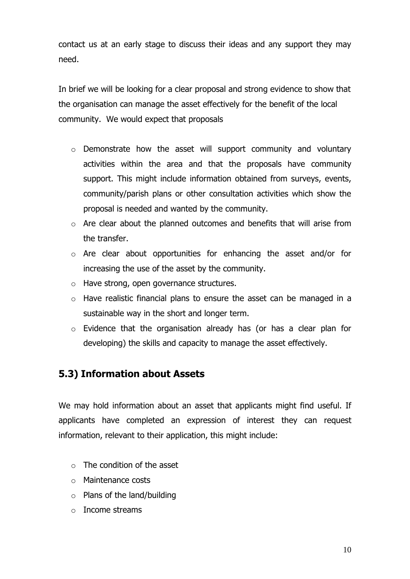contact us at an early stage to discuss their ideas and any support they may need.

 In brief we will be looking for a clear proposal and strong evidence to show that community. We would expect that proposals the organisation can manage the asset effectively for the benefit of the local

- $\circ$  Demonstrate how the asset will support community and voluntary activities within the area and that the proposals have community support. This might include information obtained from surveys, events, proposal is needed and wanted by the community. community/parish plans or other consultation activities which show the
- $\circ$  Are clear about the planned outcomes and benefits that will arise from the transfer.
- $\circ$  Are clear about opportunities for enhancing the asset and/or for increasing the use of the asset by the community.
- $\circ$  Have strong, open governance structures.
- $\circ$  Have realistic financial plans to ensure the asset can be managed in a sustainable way in the short and longer term.
- $\circ$  Evidence that the organisation already has (or has a clear plan for developing) the skills and capacity to manage the asset effectively.

# **5.3) Information about Assets**

 We may hold information about an asset that applicants might find useful. If applicants have completed an expression of interest they can request information, relevant to their application, this might include:

- $\circ$  The condition of the asset
- $\circ$  Maintenance costs
- $\circ$  Plans of the land/building
- $\circ$  Income streams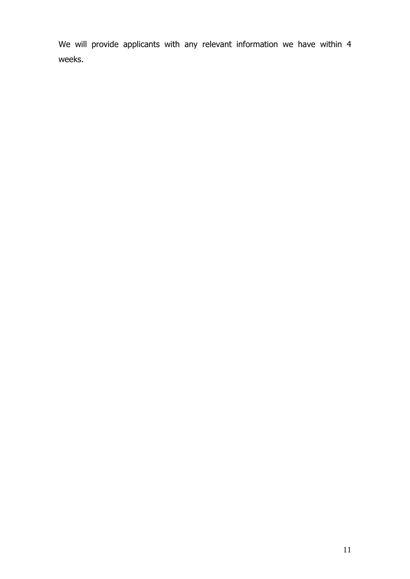We will provide applicants with any relevant information we have within 4 weeks.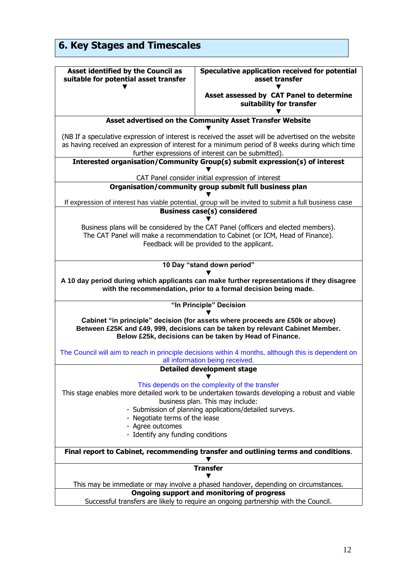| <b>6. Key Stages and Timescales</b>                                                     |                                                                                                                                                                                                                                                             |
|-----------------------------------------------------------------------------------------|-------------------------------------------------------------------------------------------------------------------------------------------------------------------------------------------------------------------------------------------------------------|
| Asset identified by the Council as<br>suitable for potential asset transfer             | Speculative application received for potential<br>asset transfer                                                                                                                                                                                            |
|                                                                                         | Asset assessed by CAT Panel to determine<br>suitability for transfer                                                                                                                                                                                        |
|                                                                                         | Asset advertised on the Community Asset Transfer Website                                                                                                                                                                                                    |
|                                                                                         | (NB If a speculative expression of interest is received the asset will be advertised on the website<br>as having received an expression of interest for a minimum period of 8 weeks during which time<br>further expressions of interest can be submitted). |
|                                                                                         | Interested organisation/Community Group(s) submit expression(s) of interest<br>CAT Panel consider initial expression of interest                                                                                                                            |
|                                                                                         | Organisation/community group submit full business plan                                                                                                                                                                                                      |
|                                                                                         | If expression of interest has viable potential, group will be invited to submit a full business case                                                                                                                                                        |
|                                                                                         | <b>Business case(s) considered</b>                                                                                                                                                                                                                          |
|                                                                                         | Business plans will be considered by the CAT Panel (officers and elected members).<br>The CAT Panel will make a recommendation to Cabinet (or ICM, Head of Finance).<br>Feedback will be provided to the applicant.                                         |
|                                                                                         | 10 Day "stand down period"<br>A 10 day period during which applicants can make further representations if they disagree<br>with the recommendation, prior to a formal decision being made.                                                                  |
|                                                                                         | "In Principle" Decision                                                                                                                                                                                                                                     |
|                                                                                         | Cabinet "in principle" decision (for assets where proceeds are £50k or above)                                                                                                                                                                               |
|                                                                                         | Between £25K and £49, 999, decisions can be taken by relevant Cabinet Member.<br>Below £25k, decisions can be taken by Head of Finance.                                                                                                                     |
|                                                                                         | all information being received.                                                                                                                                                                                                                             |
|                                                                                         | The Council will aim to reach in principle decisions within 4 months, although this is dependent on<br><b>Detailed development stage</b>                                                                                                                    |
| - Negotiate terms of the lease<br>- Agree outcomes<br>- Identify any funding conditions | This depends on the complexity of the transfer<br>This stage enables more detailed work to be undertaken towards developing a robust and viable<br>business plan. This may include:<br>- Submission of planning applications/detailed surveys.              |
|                                                                                         | Final report to Cabinet, recommending transfer and outlining terms and conditions.                                                                                                                                                                          |
|                                                                                         | <b>Transfer</b>                                                                                                                                                                                                                                             |
|                                                                                         | This may be immediate or may involve a phased handover, depending on circumstances.<br>Ongoing support and monitoring of progress                                                                                                                           |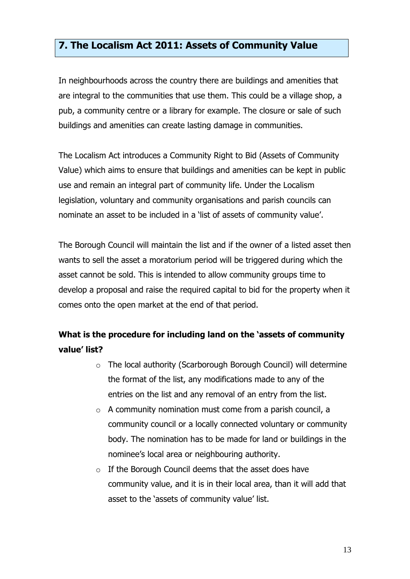### **7. The Localism Act 2011: Assets of Community Value**

In neighbourhoods across the country there are buildings and amenities that are integral to the communities that use them. This could be a village shop, a pub, a community centre or a library for example. The closure or sale of such buildings and amenities can create lasting damage in communities.

The Localism Act introduces a Community Right to Bid (Assets of Community Value) which aims to ensure that buildings and amenities can be kept in public use and remain an integral part of community life. Under the Localism legislation, voluntary and community organisations and parish councils can nominate an asset to be included in a 'list of assets of community value'.

 asset cannot be sold. This is intended to allow community groups time to The Borough Council will maintain the list and if the owner of a listed asset then wants to sell the asset a moratorium period will be triggered during which the develop a proposal and raise the required capital to bid for the property when it comes onto the open market at the end of that period.

# **What is the procedure for including land on the 'assets of community value' list?**

- the format of the list, any modifications made to any of the entries on the list and any removal of an entry from the list.  $\circ$  The local authority (Scarborough Borough Council) will determine
- $\circ$  A community nomination must come from a parish council, a community council or a locally connected voluntary or community body. The nomination has to be made for land or buildings in the nominee's local area or neighbouring authority.
- community value, and it is in their local area, than it will add that  $\circ$  If the Borough Council deems that the asset does have asset to the 'assets of community value' list.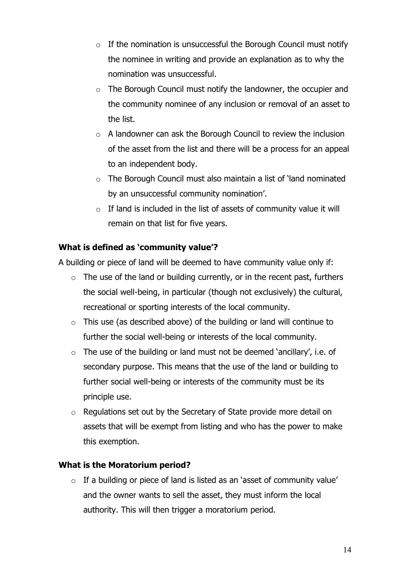- $\circ$  If the nomination is unsuccessful the Borough Council must notify the nominee in writing and provide an explanation as to why the nomination was unsuccessful.
- $\circ$  The Borough Council must notify the landowner, the occupier and the community nominee of any inclusion or removal of an asset to the list.
- $\circ$  A landowner can ask the Borough Council to review the inclusion of the asset from the list and there will be a process for an appeal to an independent body.
- $\circ$  The Borough Council must also maintain a list of 'land nominated by an unsuccessful community nomination'.
- $\circ$  If land is included in the list of assets of community value it will remain on that list for five years.

### **What is defined as 'community value'?**

A building or piece of land will be deemed to have community value only if:

- $\circ$  The use of the land or building currently, or in the recent past, furthers the social well-being, in particular (though not exclusively) the cultural, recreational or sporting interests of the local community.
- $\circ$  This use (as described above) of the building or land will continue to further the social well-being or interests of the local community.
- $\circ$  The use of the building or land must not be deemed 'ancillary', i.e. of secondary purpose. This means that the use of the land or building to further social well-being or interests of the community must be its principle use.
- $\circ$  Regulations set out by the Secretary of State provide more detail on assets that will be exempt from listing and who has the power to make this exemption.

#### **What is the Moratorium period?**

 $\circ$  If a building or piece of land is listed as an 'asset of community value' and the owner wants to sell the asset, they must inform the local authority. This will then trigger a moratorium period.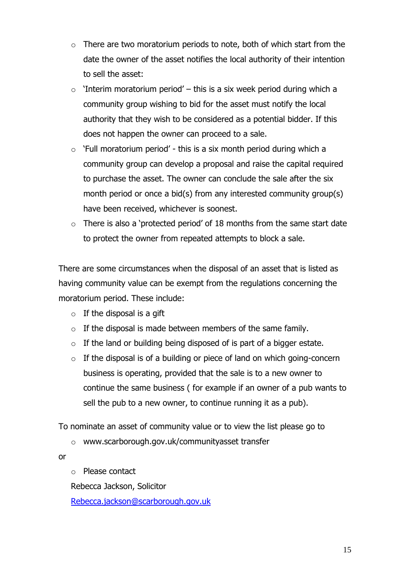- $\circ$  There are two moratorium periods to note, both of which start from the date the owner of the asset notifies the local authority of their intention to sell the asset:
- does not happen the owner can proceed to a sale.  $\circ$  'Interim moratorium period' – this is a six week period during which a community group wishing to bid for the asset must notify the local authority that they wish to be considered as a potential bidder. If this
- to purchase the asset. The owner can conclude the sale after the six  $\circ$  'Full moratorium period' - this is a six month period during which a community group can develop a proposal and raise the capital required month period or once a bid(s) from any interested community group(s) have been received, whichever is soonest.
- $\circ$  There is also a 'protected period' of 18 months from the same start date to protect the owner from repeated attempts to block a sale.

There are some circumstances when the disposal of an asset that is listed as having community value can be exempt from the regulations concerning the moratorium period. These include:

- $\circ$  If the disposal is a gift
- $\circ$  If the disposal is made between members of the same family.
- $\circ$  If the land or building being disposed of is part of a bigger estate.
- business is operating, provided that the sale is to a new owner to sell the pub to a new owner, to continue running it as a pub).  $\circ$  If the disposal is of a building or piece of land on which going-concern continue the same business ( for example if an owner of a pub wants to

To nominate an asset of community value or to view the list please go to

o www.scarborough.gov.uk/communityasset transfer

or

o Please contact

Rebecca Jackson, Solicitor

Rebecca.jackson@scarborough.gov.uk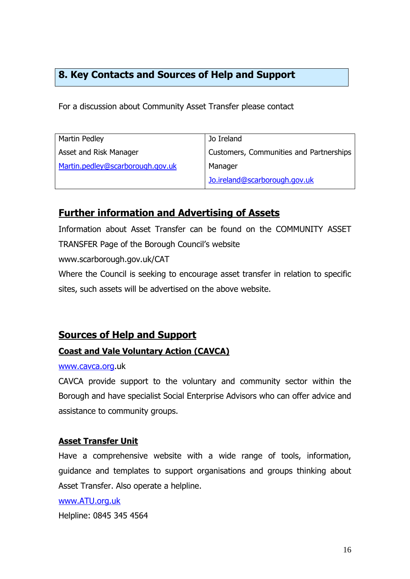# **8. Key Contacts and Sources of Help and Support**

For a discussion about Community Asset Transfer please contact

| Jo Ireland                              |
|-----------------------------------------|
| Customers, Communities and Partnerships |
| Manager                                 |
| Jo.ireland@scarborough.gov.uk           |
|                                         |

# **Further information and Advertising of Assets**

 Information about Asset Transfer can be found on the COMMUNITY ASSET TRANSFER Page of the Borough Council's website

www.scarborough.gov.uk/CAT

 Where the Council is seeking to encourage asset transfer in relation to specific sites, such assets will be advertised on the above website.

### **Sources of Help and Support**

#### **Coast and Vale Voluntary Action (CAVCA)**

#### www.cavca.org.uk

 CAVCA provide support to the voluntary and community sector within the Borough and have specialist Social Enterprise Advisors who can offer advice and assistance to community groups.

#### **Asset Transfer Unit**

 Have a comprehensive website with a wide range of tools, information, guidance and templates to support organisations and groups thinking about Asset Transfer. Also operate a helpline.

#### www.ATU.org.uk

Helpline: 0845 345 4564